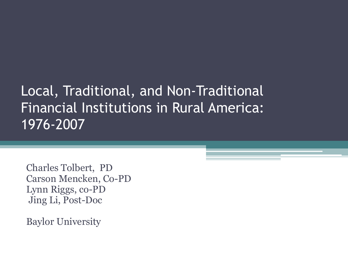#### Local, Traditional, and Non-Traditional Financial Institutions in Rural America: 1976-2007

Charles Tolbert, PD Carson Mencken, Co-PD Lynn Riggs, co-PD Jing Li, Post-Doc

Baylor University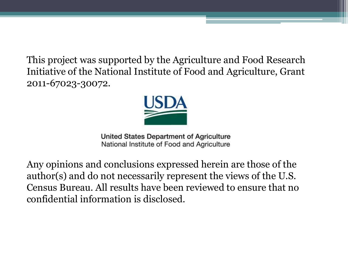This project was supported by the Agriculture and Food Research Initiative of the National Institute of Food and Agriculture, Grant 2011-67023-30072.



United States Department of Agriculture National Institute of Food and Agriculture

Any opinions and conclusions expressed herein are those of the author(s) and do not necessarily represent the views of the U.S. Census Bureau. All results have been reviewed to ensure that no confidential information is disclosed.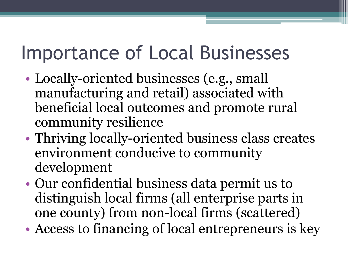## Importance of Local Businesses

- Locally-oriented businesses (e.g., small manufacturing and retail) associated with beneficial local outcomes and promote rural community resilience
- Thriving locally-oriented business class creates environment conducive to community development
- Our confidential business data permit us to distinguish local firms (all enterprise parts in one county) from non-local firms (scattered)
- Access to financing of local entrepreneurs is key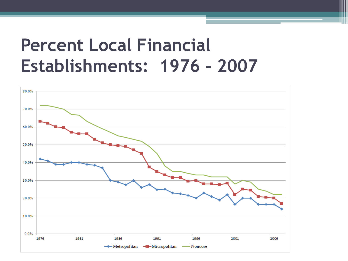#### **Percent Local Financial Establishments: 1976 - 2007**

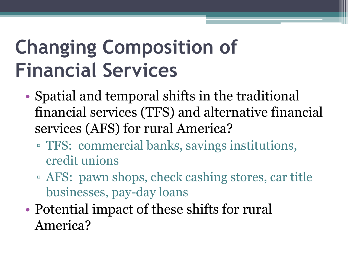# **Changing Composition of Financial Services**

- Spatial and temporal shifts in the traditional financial services (TFS) and alternative financial services (AFS) for rural America?
	- TFS: commercial banks, savings institutions, credit unions
	- AFS: pawn shops, check cashing stores, car title businesses, pay-day loans
- Potential impact of these shifts for rural America?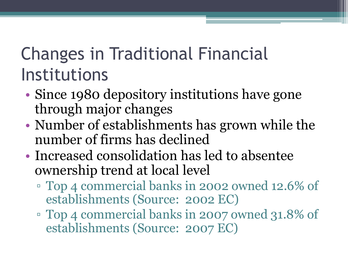#### Changes in Traditional Financial Institutions

- Since 1980 depository institutions have gone through major changes
- Number of establishments has grown while the number of firms has declined
- Increased consolidation has led to absentee ownership trend at local level
	- Top 4 commercial banks in 2002 owned 12.6% of establishments (Source: 2002 EC)
	- Top 4 commercial banks in 2007 owned 31.8% of establishments (Source: 2007 EC)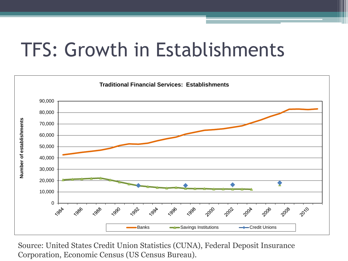### TFS: Growth in Establishments



Source: United States Credit Union Statistics (CUNA), Federal Deposit Insurance Corporation, Economic Census (US Census Bureau).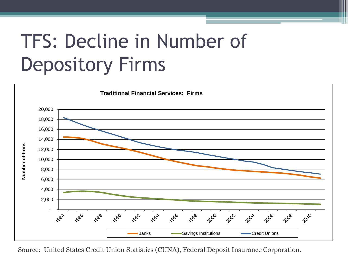## TFS: Decline in Number of Depository Firms



Source: United States Credit Union Statistics (CUNA), Federal Deposit Insurance Corporation.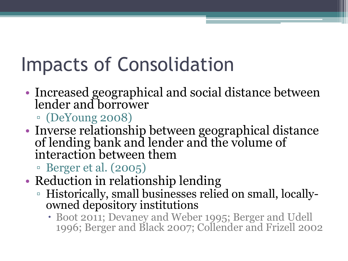# Impacts of Consolidation

- Increased geographical and social distance between lender and borrower
	- (DeYoung 2008)
- Inverse relationship between geographical distance of lending bank and lender and the volume of interaction between them
	- Berger et al. (2005)
- Reduction in relationship lending
	- Historically, small businesses relied on small, locallyowned depository institutions
		- Boot 2011; Devaney and Weber 1995; Berger and Udell 1996; Berger and Black 2007; Collender and Frizell 2002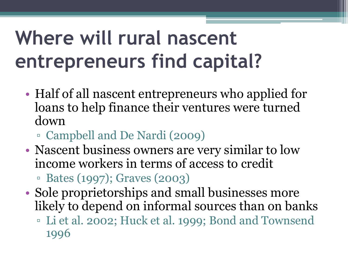# **Where will rural nascent entrepreneurs find capital?**

- Half of all nascent entrepreneurs who applied for loans to help finance their ventures were turned down
	- Campbell and De Nardi (2009)
- Nascent business owners are very similar to low income workers in terms of access to credit

▫ Bates (1997); Graves (2003)

- Sole proprietorships and small businesses more likely to depend on informal sources than on banks
	- Li et al. 2002; Huck et al. 1999; Bond and Townsend 1996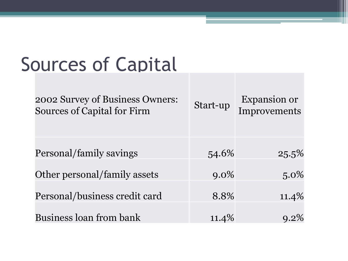## Sources of Capital

| 2002 Survey of Business Owners:<br><b>Sources of Capital for Firm</b> | Start-up | <b>Expansion or</b><br>Improvements |
|-----------------------------------------------------------------------|----------|-------------------------------------|
|                                                                       |          |                                     |
| Personal/family savings                                               | 54.6%    | $25.5\%$                            |
| Other personal/family assets                                          | $9.0\%$  | $5.0\%$                             |
| Personal/business credit card                                         | 8.8%     | $11.4\%$                            |
| <b>Business loan from bank</b>                                        | 11.4%    | $9.2\%$                             |